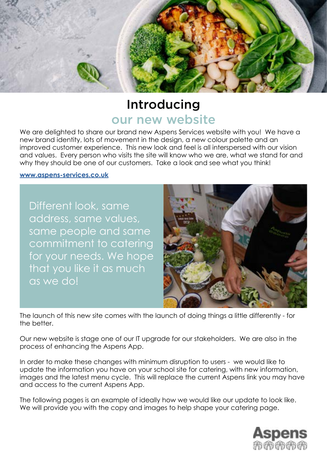

# Introducing our new website

We are delighted to share our brand new Aspens Services website with you! We have a new brand identity, lots of movement in the design, a new colour palette and an improved customer experience. This new look and feel is all interspersed with our vision and values. Every person who visits the site will know who we are, what we stand for and why they should be one of our customers. Take a look and see what you think!

#### **[www.aspens-services.co.uk](http://www.aspens-services.co.uk )**

Different look, same address, same values, same people and same commitment to catering for your needs. We hope that you like it as much as we do!



The launch of this new site comes with the launch of doing things a little differently - for the better.

Our new website is stage one of our IT upgrade for our stakeholders. We are also in the process of enhancing the Aspens App.

In order to make these changes with minimum disruption to users - we would like to update the information you have on your school site for catering, with new information, images and the latest menu cycle. This will replace the current Aspens link you may have and access to the current Aspens App.

The following pages is an example of ideally how we would like our update to look like. We will provide you with the copy and images to help shape your catering page.